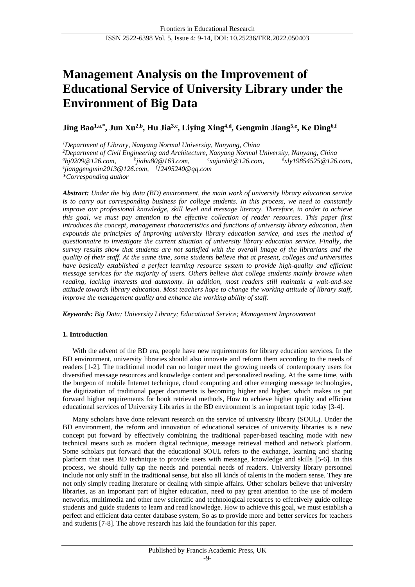# **Management Analysis on the Improvement of Educational Service of University Library under the Environment of Big Data**

**Jing Bao1,a,\*, Jun Xu2,b, Hu Jia3,c, Liying Xing4,d, Gengmin Jiang5,e, Ke Ding6,f**

*<sup>1</sup>Department of Library, Nanyang Normal University, Nanyang, China*

*<sup>2</sup>Department of Civil Engineering and Architecture, Nanyang Normal University, Nanyang, China <sup>a</sup>bj0209@126.com, b jiahu80@163.com, c xujunhit@126.com, d xly19854525@126.com, e jianggengmin2013@126.com, <sup>f</sup>12495240@qq.com*

*\*Corresponding author*

*Abstract: Under the big data (BD) environment, the main work of university library education service is to carry out corresponding business for college students. In this process, we need to constantly improve our professional knowledge, skill level and message literacy. Therefore, in order to achieve this goal, we must pay attention to the effective collection of reader resources. This paper first introduces the concept, management characteristics and functions of university library education, then expounds the principles of improving university library education service, and uses the method of questionnaire to investigate the current situation of university library education service. Finally, the survey results show that students are not satisfied with the overall image of the librarians and the quality of their staff. At the same time, some students believe that at present, colleges and universities have basically established a perfect learning resource system to provide high-quality and efficient message services for the majority of users. Others believe that college students mainly browse when reading, lacking interests and autonomy. In addition, most readers still maintain a wait-and-see attitude towards library education. Most teachers hope to change the working attitude of library staff, improve the management quality and enhance the working ability of staff.*

*Keywords: Big Data; University Library; Educational Service; Management Improvement*

# **1. Introduction**

With the advent of the BD era, people have new requirements for library education services. In the BD environment, university libraries should also innovate and reform them according to the needs of readers [1-2]. The traditional model can no longer meet the growing needs of contemporary users for diversified message resources and knowledge content and personalized reading. At the same time, with the burgeon of mobile Internet technique, cloud computing and other emerging message technologies, the digitization of traditional paper documents is becoming higher and higher, which makes us put forward higher requirements for book retrieval methods, How to achieve higher quality and efficient educational services of University Libraries in the BD environment is an important topic today [3-4].

Many scholars have done relevant research on the service of university library (SOUL). Under the BD environment, the reform and innovation of educational services of university libraries is a new concept put forward by effectively combining the traditional paper-based teaching mode with new technical means such as modern digital technique, message retrieval method and network platform. Some scholars put forward that the educational SOUL refers to the exchange, learning and sharing platform that uses BD technique to provide users with message, knowledge and skills [5-6]. In this process, we should fully tap the needs and potential needs of readers. University library personnel include not only staff in the traditional sense, but also all kinds of talents in the modern sense. They are not only simply reading literature or dealing with simple affairs. Other scholars believe that university libraries, as an important part of higher education, need to pay great attention to the use of modern networks, multimedia and other new scientific and technological resources to effectively guide college students and guide students to learn and read knowledge. How to achieve this goal, we must establish a perfect and efficient data center database system, So as to provide more and better services for teachers and students [7-8]. The above research has laid the foundation for this paper.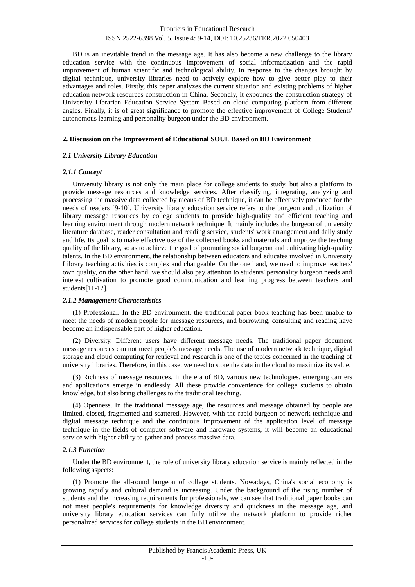BD is an inevitable trend in the message age. It has also become a new challenge to the library education service with the continuous improvement of social informatization and the rapid improvement of human scientific and technological ability. In response to the changes brought by digital technique, university libraries need to actively explore how to give better play to their advantages and roles. Firstly, this paper analyzes the current situation and existing problems of higher education network resources construction in China. Secondly, it expounds the construction strategy of University Librarian Education Service System Based on cloud computing platform from different angles. Finally, it is of great significance to promote the effective improvement of College Students' autonomous learning and personality burgeon under the BD environment.

## **2. Discussion on the Improvement of Educational SOUL Based on BD Environment**

## *2.1 University Library Education*

## *2.1.1 Concept*

University library is not only the main place for college students to study, but also a platform to provide message resources and knowledge services. After classifying, integrating, analyzing and processing the massive data collected by means of BD technique, it can be effectively produced for the needs of readers [9-10]. University library education service refers to the burgeon and utilization of library message resources by college students to provide high-quality and efficient teaching and learning environment through modern network technique. It mainly includes the burgeon of university literature database, reader consultation and reading service, students' work arrangement and daily study and life. Its goal is to make effective use of the collected books and materials and improve the teaching quality of the library, so as to achieve the goal of promoting social burgeon and cultivating high-quality talents. In the BD environment, the relationship between educators and educates involved in University Library teaching activities is complex and changeable. On the one hand, we need to improve teachers' own quality, on the other hand, we should also pay attention to students' personality burgeon needs and interest cultivation to promote good communication and learning progress between teachers and students[11-12].

## *2.1.2 Management Characteristics*

(1) Professional. In the BD environment, the traditional paper book teaching has been unable to meet the needs of modern people for message resources, and borrowing, consulting and reading have become an indispensable part of higher education.

(2) Diversity. Different users have different message needs. The traditional paper document message resources can not meet people's message needs. The use of modern network technique, digital storage and cloud computing for retrieval and research is one of the topics concerned in the teaching of university libraries. Therefore, in this case, we need to store the data in the cloud to maximize its value.

(3) Richness of message resources. In the era of BD, various new technologies, emerging carriers and applications emerge in endlessly. All these provide convenience for college students to obtain knowledge, but also bring challenges to the traditional teaching.

(4) Openness. In the traditional message age, the resources and message obtained by people are limited, closed, fragmented and scattered. However, with the rapid burgeon of network technique and digital message technique and the continuous improvement of the application level of message technique in the fields of computer software and hardware systems, it will become an educational service with higher ability to gather and process massive data.

# *2.1.3 Function*

Under the BD environment, the role of university library education service is mainly reflected in the following aspects:

(1) Promote the all-round burgeon of college students. Nowadays, China's social economy is growing rapidly and cultural demand is increasing. Under the background of the rising number of students and the increasing requirements for professionals, we can see that traditional paper books can not meet people's requirements for knowledge diversity and quickness in the message age, and university library education services can fully utilize the network platform to provide richer personalized services for college students in the BD environment.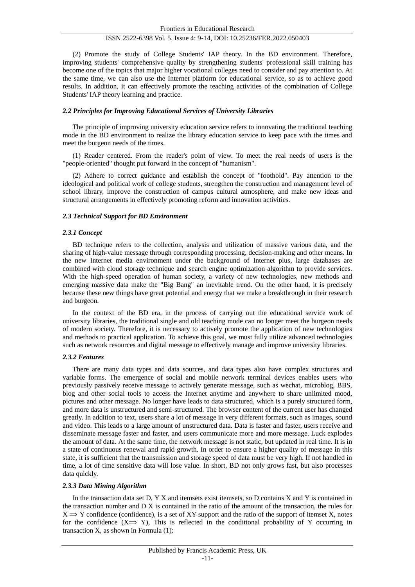(2) Promote the study of College Students' IAP theory. In the BD environment. Therefore, improving students' comprehensive quality by strengthening students' professional skill training has become one of the topics that major higher vocational colleges need to consider and pay attention to. At the same time, we can also use the Internet platform for educational service, so as to achieve good results. In addition, it can effectively promote the teaching activities of the combination of College Students' IAP theory learning and practice.

## *2.2 Principles for Improving Educational Services of University Libraries*

The principle of improving university education service refers to innovating the traditional teaching mode in the BD environment to realize the library education service to keep pace with the times and meet the burgeon needs of the times.

(1) Reader centered. From the reader's point of view. To meet the real needs of users is the "people-oriented" thought put forward in the concept of "humanism".

(2) Adhere to correct guidance and establish the concept of "foothold". Pay attention to the ideological and political work of college students, strengthen the construction and management level of school library, improve the construction of campus cultural atmosphere, and make new ideas and structural arrangements in effectively promoting reform and innovation activities.

## *2.3 Technical Support for BD Environment*

## *2.3.1 Concept*

BD technique refers to the collection, analysis and utilization of massive various data, and the sharing of high-value message through corresponding processing, decision-making and other means. In the new Internet media environment under the background of Internet plus, large databases are combined with cloud storage technique and search engine optimization algorithm to provide services. With the high-speed operation of human society, a variety of new technologies, new methods and emerging massive data make the "Big Bang" an inevitable trend. On the other hand, it is precisely because these new things have great potential and energy that we make a breakthrough in their research and burgeon.

In the context of the BD era, in the process of carrying out the educational service work of university libraries, the traditional single and old teaching mode can no longer meet the burgeon needs of modern society. Therefore, it is necessary to actively promote the application of new technologies and methods to practical application. To achieve this goal, we must fully utilize advanced technologies such as network resources and digital message to effectively manage and improve university libraries.

## *2.3.2 Features*

There are many data types and data sources, and data types also have complex structures and variable forms. The emergence of social and mobile network terminal devices enables users who previously passively receive message to actively generate message, such as wechat, microblog, BBS, blog and other social tools to access the Internet anytime and anywhere to share unlimited mood, pictures and other message. No longer have leads to data structured, which is a purely structured form, and more data is unstructured and semi-structured. The browser content of the current user has changed greatly. In addition to text, users share a lot of message in very different formats, such as images, sound and video. This leads to a large amount of unstructured data. Data is faster and faster, users receive and disseminate message faster and faster, and users communicate more and more message. Luck explodes the amount of data. At the same time, the network message is not static, but updated in real time. It is in a state of continuous renewal and rapid growth. In order to ensure a higher quality of message in this state, it is sufficient that the transmission and storage speed of data must be very high. If not handled in time, a lot of time sensitive data will lose value. In short, BD not only grows fast, but also processes data quickly.

## *2.3.3 Data Mining Algorithm*

In the transaction data set D, Y X and itemsets exist itemsets, so D contains X and Y is contained in the transaction number and D X is contained in the ratio of the amount of the transaction, the rules for  $X \implies Y$  confidence (confidence), is a set of XY support and the ratio of the support of itemset X, notes for the confidence  $(X \rightarrow Y)$ , This is reflected in the conditional probability of Y occurring in transaction X, as shown in Formula (1):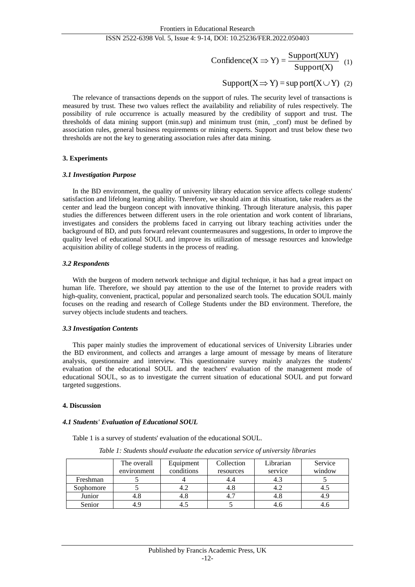$$
Confidence(X \Rightarrow Y) = \frac{Support(XUY)}{Support(X)}
$$
 (1)

$$
Support(X \implies Y) = \sup port(X \cup Y) \quad (2)
$$

The relevance of transactions depends on the support of rules. The security level of transactions is measured by trust. These two values reflect the availability and reliability of rules respectively. The possibility of rule occurrence is actually measured by the credibility of support and trust. The thresholds of data mining support (min.sup) and minimum trust (min, \_conf) must be defined by association rules, general business requirements or mining experts. Support and trust below these two thresholds are not the key to generating association rules after data mining.

# **3. Experiments**

## *3.1 Investigation Purpose*

In the BD environment, the quality of university library education service affects college students' satisfaction and lifelong learning ability. Therefore, we should aim at this situation, take readers as the center and lead the burgeon concept with innovative thinking. Through literature analysis, this paper studies the differences between different users in the role orientation and work content of librarians, investigates and considers the problems faced in carrying out library teaching activities under the background of BD, and puts forward relevant countermeasures and suggestions, In order to improve the quality level of educational SOUL and improve its utilization of message resources and knowledge acquisition ability of college students in the process of reading.

## *3.2 Respondents*

With the burgeon of modern network technique and digital technique, it has had a great impact on human life. Therefore, we should pay attention to the use of the Internet to provide readers with high-quality, convenient, practical, popular and personalized search tools. The education SOUL mainly focuses on the reading and research of College Students under the BD environment. Therefore, the survey objects include students and teachers.

## *3.3 Investigation Contents*

This paper mainly studies the improvement of educational services of University Libraries under the BD environment, and collects and arranges a large amount of message by means of literature analysis, questionnaire and interview. This questionnaire survey mainly analyzes the students' evaluation of the educational SOUL and the teachers' evaluation of the management mode of educational SOUL, so as to investigate the current situation of educational SOUL and put forward targeted suggestions.

## **4. Discussion**

## *4.1 Students' Evaluation of Educational SOUL*

Table 1 is a survey of students' evaluation of the educational SOUL.

| Table 1: Students should evaluate the education service of university libraries |  |
|---------------------------------------------------------------------------------|--|
|---------------------------------------------------------------------------------|--|

|           | The overall | Equipment  | Collection | Librarian | Service |
|-----------|-------------|------------|------------|-----------|---------|
|           | environment | conditions | resources  | service   | window  |
| Freshman  |             |            |            |           |         |
| Sophomore |             |            | 4.ð        | 4.2       | 4.J     |
| Junior    | 4.8         | 4.ð        |            | 4.8       | 4.9     |
| Senior    | 4.9         |            |            | 4.0       | 4.0     |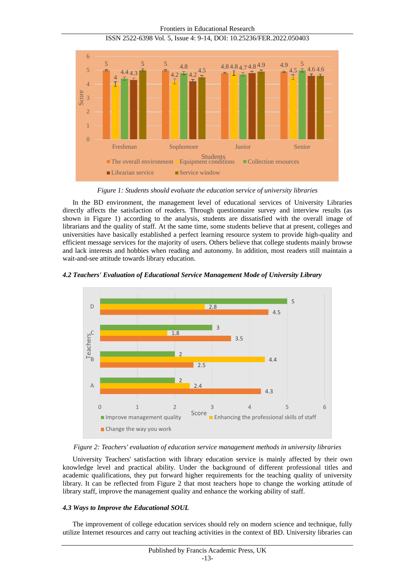

Frontiers in Educational Research ISSN 2522-6398 Vol. 5, Issue 4: 9-14, DOI: 10.25236/FER.2022.050403

*Figure 1: Students should evaluate the education service of university libraries*

In the BD environment, the management level of educational services of University Libraries directly affects the satisfaction of readers. Through questionnaire survey and interview results (as shown in Figure 1) according to the analysis, students are dissatisfied with the overall image of librarians and the quality of staff. At the same time, some students believe that at present, colleges and universities have basically established a perfect learning resource system to provide high-quality and efficient message services for the majority of users. Others believe that college students mainly browse and lack interests and hobbies when reading and autonomy. In addition, most readers still maintain a wait-and-see attitude towards library education.







University Teachers' satisfaction with library education service is mainly affected by their own knowledge level and practical ability. Under the background of different professional titles and academic qualifications, they put forward higher requirements for the teaching quality of university library. It can be reflected from Figure 2 that most teachers hope to change the working attitude of library staff, improve the management quality and enhance the working ability of staff.

# *4.3 Ways to Improve the Educational SOUL*

The improvement of college education services should rely on modern science and technique, fully utilize Internet resources and carry out teaching activities in the context of BD. University libraries can